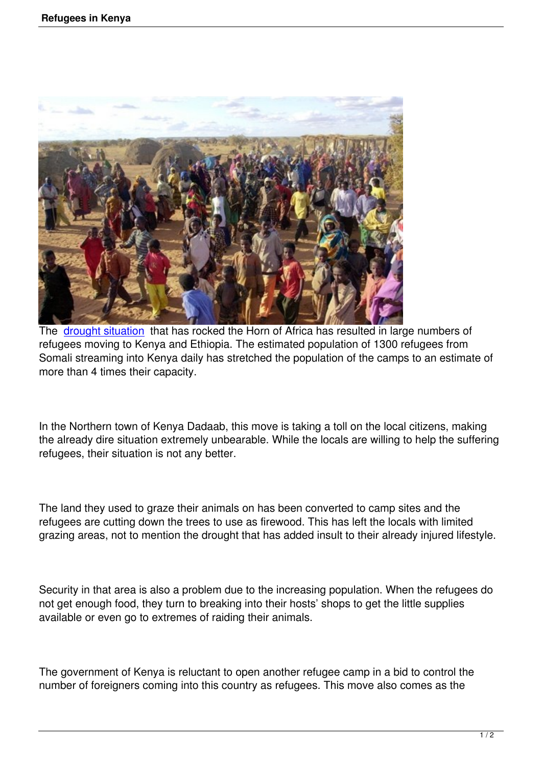

The drought situation that has rocked the Horn of Africa has resulted in large numbers of refugees moving to Kenya and Ethiopia. The estimated population of 1300 refugees from Somali streaming into Kenya daily has stretched the population of the camps to an estimate of mor[e than 4 times thei](http://www.unhcr.org/refworld/docid/4e4cacc82.html)r capacity.

In the Northern town of Kenya Dadaab, this move is taking a toll on the local citizens, making the already dire situation extremely unbearable. While the locals are willing to help the suffering refugees, their situation is not any better.

The land they used to graze their animals on has been converted to camp sites and the refugees are cutting down the trees to use as firewood. This has left the locals with limited grazing areas, not to mention the drought that has added insult to their already injured lifestyle.

Security in that area is also a problem due to the increasing population. When the refugees do not get enough food, they turn to breaking into their hosts' shops to get the little supplies available or even go to extremes of raiding their animals.

The government of Kenya is reluctant to open another refugee camp in a bid to control the number of foreigners coming into this country as refugees. This move also comes as the